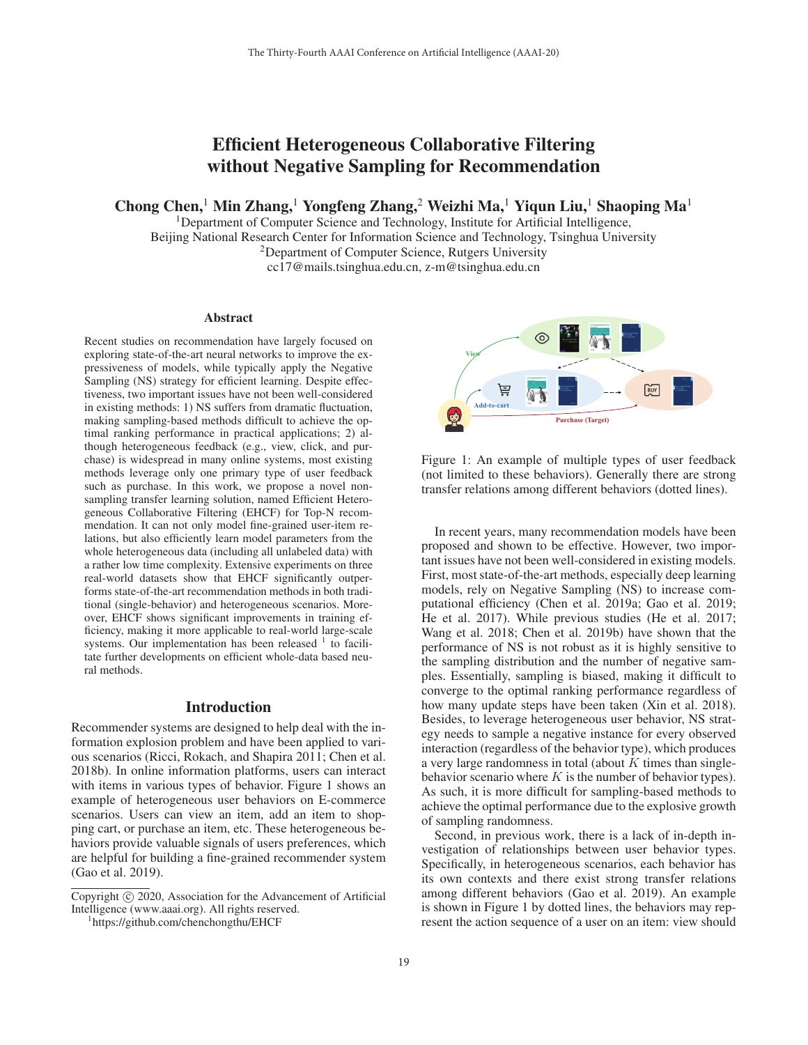# Efficient Heterogeneous Collaborative Filtering without Negative Sampling for Recommendation

Chong Chen,<sup>1</sup> Min Zhang,<sup>1</sup> Yongfeng Zhang,<sup>2</sup> Weizhi Ma,<sup>1</sup> Yiqun Liu,<sup>1</sup> Shaoping Ma<sup>1</sup>

<sup>1</sup>Department of Computer Science and Technology, Institute for Artificial Intelligence, Beijing National Research Center for Information Science and Technology, Tsinghua University 2Department of Computer Science, Rutgers University

cc17@mails.tsinghua.edu.cn, z-m@tsinghua.edu.cn

#### Abstract

Recent studies on recommendation have largely focused on exploring state-of-the-art neural networks to improve the expressiveness of models, while typically apply the Negative Sampling (NS) strategy for efficient learning. Despite effectiveness, two important issues have not been well-considered in existing methods: 1) NS suffers from dramatic fluctuation, making sampling-based methods difficult to achieve the optimal ranking performance in practical applications; 2) although heterogeneous feedback (e.g., view, click, and purchase) is widespread in many online systems, most existing methods leverage only one primary type of user feedback such as purchase. In this work, we propose a novel nonsampling transfer learning solution, named Efficient Heterogeneous Collaborative Filtering (EHCF) for Top-N recommendation. It can not only model fine-grained user-item relations, but also efficiently learn model parameters from the whole heterogeneous data (including all unlabeled data) with a rather low time complexity. Extensive experiments on three real-world datasets show that EHCF significantly outperforms state-of-the-art recommendation methods in both traditional (single-behavior) and heterogeneous scenarios. Moreover, EHCF shows significant improvements in training efficiency, making it more applicable to real-world large-scale systems. Our implementation has been released  $1$  to facilitate further developments on efficient whole-data based neural methods.

### Introduction

Recommender systems are designed to help deal with the information explosion problem and have been applied to various scenarios (Ricci, Rokach, and Shapira 2011; Chen et al. 2018b). In online information platforms, users can interact with items in various types of behavior. Figure 1 shows an example of heterogeneous user behaviors on E-commerce scenarios. Users can view an item, add an item to shopping cart, or purchase an item, etc. These heterogeneous behaviors provide valuable signals of users preferences, which are helpful for building a fine-grained recommender system (Gao et al. 2019).



Figure 1: An example of multiple types of user feedback (not limited to these behaviors). Generally there are strong transfer relations among different behaviors (dotted lines).

In recent years, many recommendation models have been proposed and shown to be effective. However, two important issues have not been well-considered in existing models. First, most state-of-the-art methods, especially deep learning models, rely on Negative Sampling (NS) to increase computational efficiency (Chen et al. 2019a; Gao et al. 2019; He et al. 2017). While previous studies (He et al. 2017; Wang et al. 2018; Chen et al. 2019b) have shown that the performance of NS is not robust as it is highly sensitive to the sampling distribution and the number of negative samples. Essentially, sampling is biased, making it difficult to converge to the optimal ranking performance regardless of how many update steps have been taken (Xin et al. 2018). Besides, to leverage heterogeneous user behavior, NS strategy needs to sample a negative instance for every observed interaction (regardless of the behavior type), which produces a very large randomness in total (about  $K$  times than singlebehavior scenario where  $K$  is the number of behavior types). As such, it is more difficult for sampling-based methods to achieve the optimal performance due to the explosive growth of sampling randomness.

Second, in previous work, there is a lack of in-depth investigation of relationships between user behavior types. Specifically, in heterogeneous scenarios, each behavior has its own contexts and there exist strong transfer relations among different behaviors (Gao et al. 2019). An example is shown in Figure 1 by dotted lines, the behaviors may represent the action sequence of a user on an item: view should

Copyright  $\odot$  2020, Association for the Advancement of Artificial Intelligence (www.aaai.org). All rights reserved.

https://github.com/chenchongthu/EHCF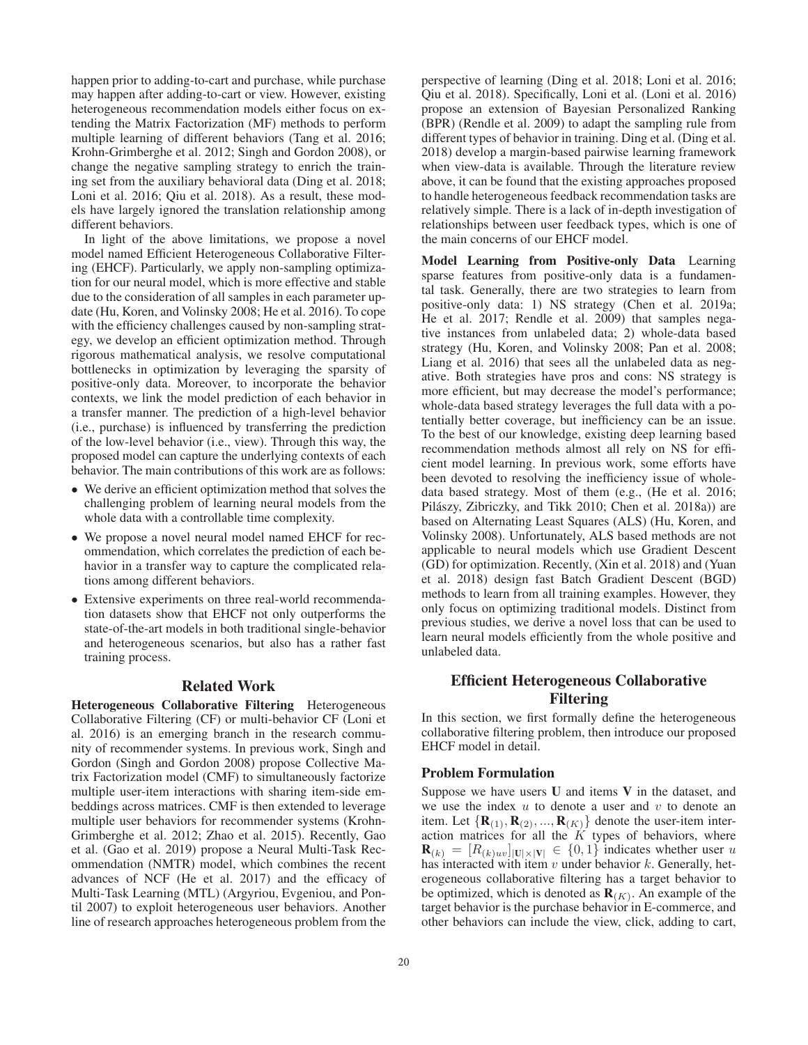happen prior to adding-to-cart and purchase, while purchase may happen after adding-to-cart or view. However, existing heterogeneous recommendation models either focus on extending the Matrix Factorization (MF) methods to perform multiple learning of different behaviors (Tang et al. 2016; Krohn-Grimberghe et al. 2012; Singh and Gordon 2008), or change the negative sampling strategy to enrich the training set from the auxiliary behavioral data (Ding et al. 2018; Loni et al. 2016; Qiu et al. 2018). As a result, these models have largely ignored the translation relationship among different behaviors.

In light of the above limitations, we propose a novel model named Efficient Heterogeneous Collaborative Filtering (EHCF). Particularly, we apply non-sampling optimization for our neural model, which is more effective and stable due to the consideration of all samples in each parameter update (Hu, Koren, and Volinsky 2008; He et al. 2016). To cope with the efficiency challenges caused by non-sampling strategy, we develop an efficient optimization method. Through rigorous mathematical analysis, we resolve computational bottlenecks in optimization by leveraging the sparsity of positive-only data. Moreover, to incorporate the behavior contexts, we link the model prediction of each behavior in a transfer manner. The prediction of a high-level behavior (i.e., purchase) is influenced by transferring the prediction of the low-level behavior (i.e., view). Through this way, the proposed model can capture the underlying contexts of each behavior. The main contributions of this work are as follows:

- We derive an efficient optimization method that solves the challenging problem of learning neural models from the whole data with a controllable time complexity.
- We propose a novel neural model named EHCF for recommendation, which correlates the prediction of each behavior in a transfer way to capture the complicated relations among different behaviors.
- Extensive experiments on three real-world recommendation datasets show that EHCF not only outperforms the state-of-the-art models in both traditional single-behavior and heterogeneous scenarios, but also has a rather fast training process.

#### Related Work

Heterogeneous Collaborative Filtering Heterogeneous Collaborative Filtering (CF) or multi-behavior CF (Loni et al. 2016) is an emerging branch in the research community of recommender systems. In previous work, Singh and Gordon (Singh and Gordon 2008) propose Collective Matrix Factorization model (CMF) to simultaneously factorize multiple user-item interactions with sharing item-side embeddings across matrices. CMF is then extended to leverage multiple user behaviors for recommender systems (Krohn-Grimberghe et al. 2012; Zhao et al. 2015). Recently, Gao et al. (Gao et al. 2019) propose a Neural Multi-Task Recommendation (NMTR) model, which combines the recent advances of NCF (He et al. 2017) and the efficacy of Multi-Task Learning (MTL) (Argyriou, Evgeniou, and Pontil 2007) to exploit heterogeneous user behaviors. Another line of research approaches heterogeneous problem from the perspective of learning (Ding et al. 2018; Loni et al. 2016; Qiu et al. 2018). Specifically, Loni et al. (Loni et al. 2016) propose an extension of Bayesian Personalized Ranking (BPR) (Rendle et al. 2009) to adapt the sampling rule from different types of behavior in training. Ding et al. (Ding et al. 2018) develop a margin-based pairwise learning framework when view-data is available. Through the literature review above, it can be found that the existing approaches proposed to handle heterogeneous feedback recommendation tasks are relatively simple. There is a lack of in-depth investigation of relationships between user feedback types, which is one of the main concerns of our EHCF model.

Model Learning from Positive-only Data Learning sparse features from positive-only data is a fundamental task. Generally, there are two strategies to learn from positive-only data: 1) NS strategy (Chen et al. 2019a; He et al. 2017; Rendle et al. 2009) that samples negative instances from unlabeled data; 2) whole-data based strategy (Hu, Koren, and Volinsky 2008; Pan et al. 2008; Liang et al. 2016) that sees all the unlabeled data as negative. Both strategies have pros and cons: NS strategy is more efficient, but may decrease the model's performance; whole-data based strategy leverages the full data with a potentially better coverage, but inefficiency can be an issue. To the best of our knowledge, existing deep learning based recommendation methods almost all rely on NS for efficient model learning. In previous work, some efforts have been devoted to resolving the inefficiency issue of wholedata based strategy. Most of them (e.g., (He et al. 2016; Pilászy, Zibriczky, and Tikk 2010; Chen et al. 2018a)) are based on Alternating Least Squares (ALS) (Hu, Koren, and Volinsky 2008). Unfortunately, ALS based methods are not applicable to neural models which use Gradient Descent (GD) for optimization. Recently, (Xin et al. 2018) and (Yuan et al. 2018) design fast Batch Gradient Descent (BGD) methods to learn from all training examples. However, they only focus on optimizing traditional models. Distinct from previous studies, we derive a novel loss that can be used to learn neural models efficiently from the whole positive and unlabeled data.

## Efficient Heterogeneous Collaborative Filtering

In this section, we first formally define the heterogeneous collaborative filtering problem, then introduce our proposed EHCF model in detail.

### Problem Formulation

Suppose we have users  $U$  and items  $V$  in the dataset, and we use the index  $u$  to denote a user and  $v$  to denote an item. Let  ${R_{(1), R_{(2)}, ..., R_{(K)}}$  denote the user-item interaction matrices for all the  $K$  types of behaviors, where  $\mathbf{R}_{(k)} = [R_{(k)uv}]_{|\mathbf{U}|\times|\mathbf{V}|} \in \{0,1\}$  indicates whether user u has interacted with item  $v$  under behavior  $k$ . Generally, heterogeneous collaborative filtering has a target behavior to be optimized, which is denoted as  $\mathbf{R}_{(K)}$ . An example of the target behavior is the purchase behavior in E-commerce, and other behaviors can include the view, click, adding to cart,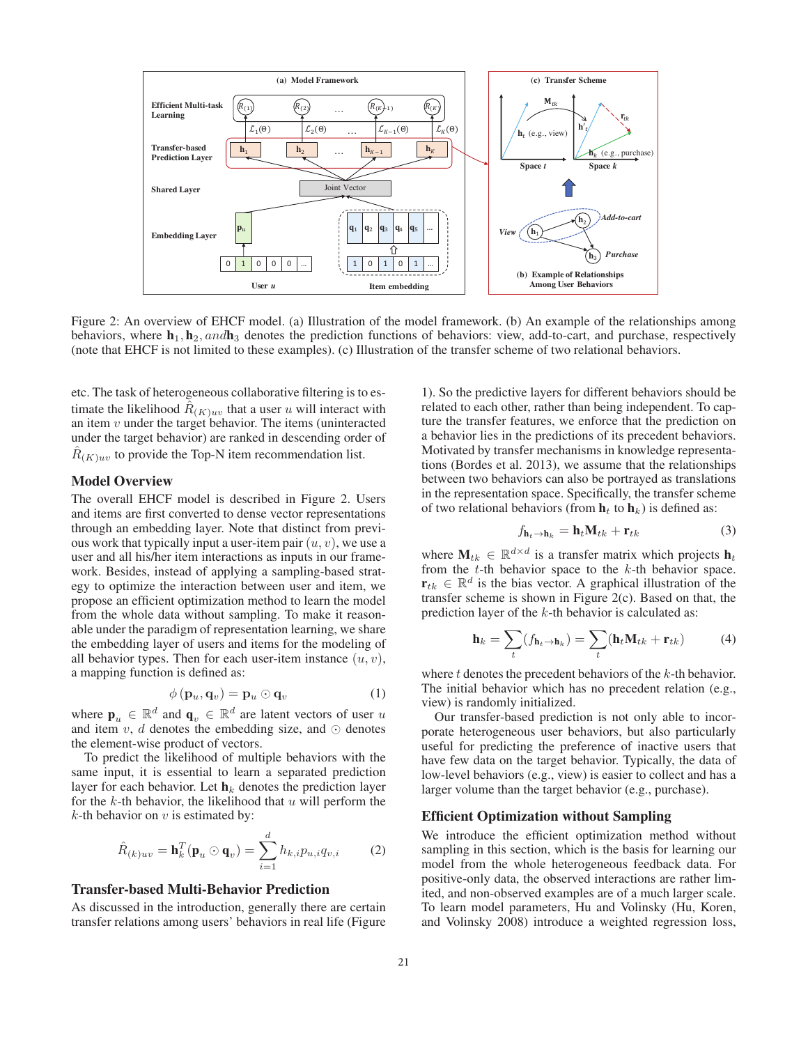

Figure 2: An overview of EHCF model. (a) Illustration of the model framework. (b) An example of the relationships among behaviors, where  $h_1$ ,  $h_2$ , and  $h_3$  denotes the prediction functions of behaviors: view, add-to-cart, and purchase, respectively (note that EHCF is not limited to these examples). (c) Illustration of the transfer scheme of two relational behaviors.

etc. The task of heterogeneous collaborative filtering is to estimate the likelihood  $R_{(K)uv}$  that a user u will interact with an item  $v$  under the target behavior. The items (uninteracted under the target behavior) are ranked in descending order of  $R_{(K)uv}$  to provide the Top-N item recommendation list.

### Model Overview

The overall EHCF model is described in Figure 2. Users and items are first converted to dense vector representations through an embedding layer. Note that distinct from previous work that typically input a user-item pair  $(u, v)$ , we use a user and all his/her item interactions as inputs in our framework. Besides, instead of applying a sampling-based strategy to optimize the interaction between user and item, we propose an efficient optimization method to learn the model from the whole data without sampling. To make it reasonable under the paradigm of representation learning, we share the embedding layer of users and items for the modeling of all behavior types. Then for each user-item instance  $(u, v)$ , a mapping function is defined as:

$$
\phi(\mathbf{p}_u, \mathbf{q}_v) = \mathbf{p}_u \odot \mathbf{q}_v \tag{1}
$$

where  $\mathbf{p}_u \in \mathbb{R}^d$  and  $\mathbf{q}_v \in \mathbb{R}^d$  are latent vectors of user u and item v, d denotes the embedding size, and  $\odot$  denotes the element-wise product of vectors.

To predict the likelihood of multiple behaviors with the same input, it is essential to learn a separated prediction layer for each behavior. Let  $\mathbf{h}_k$  denotes the prediction layer for the k-th behavior, the likelihood that  $u$  will perform the  $k$ -th behavior on  $v$  is estimated by:

$$
\hat{R}_{(k)uv} = \mathbf{h}_k^T(\mathbf{p}_u \odot \mathbf{q}_v) = \sum_{i=1}^d h_{k,i} p_{u,i} q_{v,i}
$$
 (2)

#### Transfer-based Multi-Behavior Prediction

As discussed in the introduction, generally there are certain transfer relations among users' behaviors in real life (Figure

1). So the predictive layers for different behaviors should be related to each other, rather than being independent. To capture the transfer features, we enforce that the prediction on a behavior lies in the predictions of its precedent behaviors. Motivated by transfer mechanisms in knowledge representations (Bordes et al. 2013), we assume that the relationships between two behaviors can also be portrayed as translations in the representation space. Specifically, the transfer scheme of two relational behaviors (from  $\mathbf{h}_t$  to  $\mathbf{h}_k$ ) is defined as:

$$
f_{\mathbf{h}_t \to \mathbf{h}_k} = \mathbf{h}_t \mathbf{M}_{tk} + \mathbf{r}_{tk} \tag{3}
$$

where  $M_{tk} \in \mathbb{R}^{d \times d}$  is a transfer matrix which projects  $h_t$ from the  $t$ -th behavior space to the  $k$ -th behavior space.  $\mathbf{r}_{tk} \in \mathbb{R}^d$  is the bias vector. A graphical illustration of the transfer scheme is shown in Figure 2(c). Based on that, the prediction layer of the k-th behavior is calculated as:

$$
\mathbf{h}_k = \sum_t (f_{\mathbf{h}_t \to \mathbf{h}_k}) = \sum_t (\mathbf{h}_t \mathbf{M}_{tk} + \mathbf{r}_{tk})
$$
(4)

where  $t$  denotes the precedent behaviors of the  $k$ -th behavior. The initial behavior which has no precedent relation (e.g., view) is randomly initialized.

Our transfer-based prediction is not only able to incorporate heterogeneous user behaviors, but also particularly useful for predicting the preference of inactive users that have few data on the target behavior. Typically, the data of low-level behaviors (e.g., view) is easier to collect and has a larger volume than the target behavior (e.g., purchase).

#### Efficient Optimization without Sampling

We introduce the efficient optimization method without sampling in this section, which is the basis for learning our model from the whole heterogeneous feedback data. For positive-only data, the observed interactions are rather limited, and non-observed examples are of a much larger scale. To learn model parameters, Hu and Volinsky (Hu, Koren, and Volinsky 2008) introduce a weighted regression loss,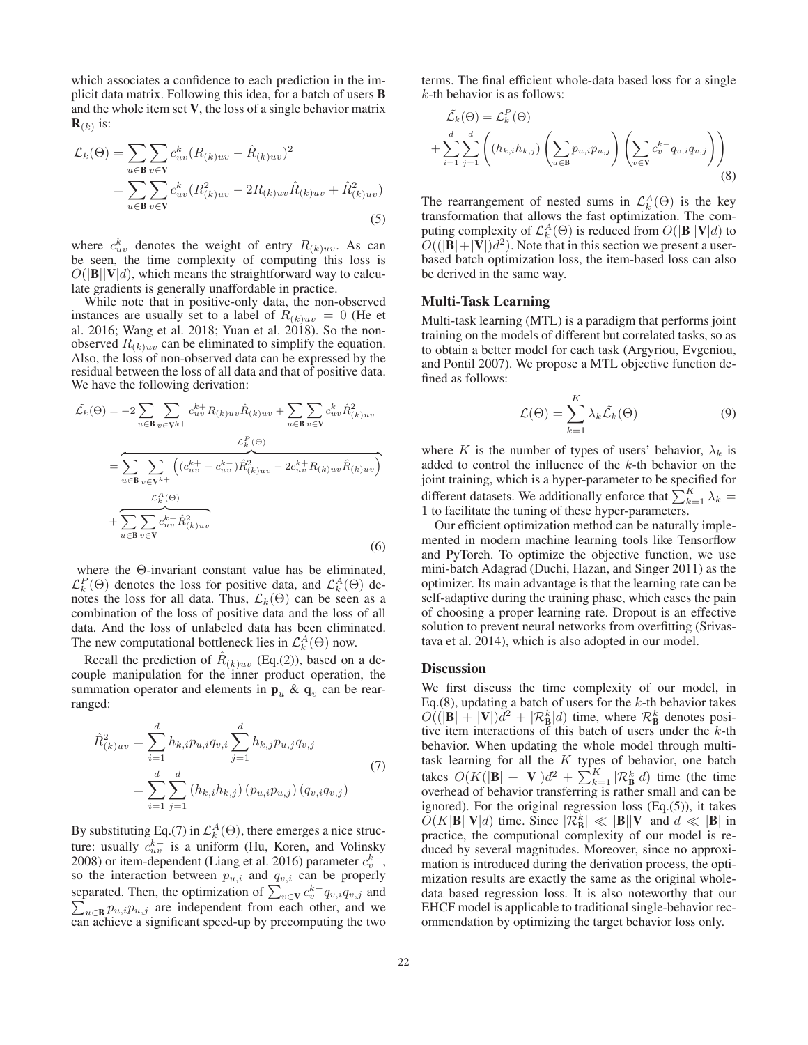which associates a confidence to each prediction in the implicit data matrix. Following this idea, for a batch of users B and the whole item set V, the loss of a single behavior matrix  $\mathbf{R}_{(k)}$  is:

$$
\mathcal{L}_{k}(\Theta) = \sum_{u \in \mathbf{B}} \sum_{v \in \mathbf{V}} c_{uv}^{k} (R_{(k)uv} - \hat{R}_{(k)uv})^{2}
$$
  
= 
$$
\sum_{u \in \mathbf{B}} \sum_{v \in \mathbf{V}} c_{uv}^{k} (R_{(k)uv}^{2} - 2R_{(k)uv}\hat{R}_{(k)uv} + \hat{R}_{(k)uv}^{2})
$$
(5)

where  $c_{uv}^k$  denotes the weight of entry  $R_{(k)uv}$ . As can be seen, the time complexity of computing this loss is  $O(|\mathbf{B}||\mathbf{V}|d)$ , which means the straightforward way to calculate gradients is generally unaffordable in practice.

While note that in positive-only data, the non-observed instances are usually set to a label of  $R_{(k)uv} = 0$  (He et al. 2016; Wang et al. 2018; Yuan et al. 2018). So the nonobserved  $R_{(k)uv}$  can be eliminated to simplify the equation. Also, the loss of non-observed data can be expressed by the residual between the loss of all data and that of positive data. We have the following derivation:

$$
\tilde{\mathcal{L}}_{k}(\Theta) = -2 \sum_{u \in \mathbf{B}} \sum_{v \in \mathbf{V}^{k+}} c_{uv}^{k+} R_{(k)uv} \hat{R}_{(k)uv} + \sum_{u \in \mathbf{B}} \sum_{v \in \mathbf{V}} c_{uv}^{k} \hat{R}_{(k)uv}^{2}
$$
\n
$$
= \sum_{u \in \mathbf{B}} \sum_{v \in \mathbf{V}^{k+}} \left( (c_{uv}^{k+} - c_{uv}^{k-}) \hat{R}_{(k)uv}^{2} - 2c_{uv}^{k+} R_{(k)uv} \hat{R}_{(k)uv} \right)
$$
\n
$$
+ \sum_{u \in \mathbf{B}} \sum_{v \in \mathbf{V}} c_{uv}^{k-} \hat{R}_{(k)uv}^{2}
$$
\n(6)

where the Θ-invariant constant value has be eliminated,  $\mathcal{L}_{k}^{P}(\Theta)$  denotes the loss for positive data, and  $\mathcal{L}_{k}^{A}(\Theta)$  denotes the loss for all data. Thus,  $\mathcal{L}_k(\Theta)$  can be seen as a combination of the loss of positive data and the loss of all data. And the loss of unlabeled data has been eliminated. The new computational bottleneck lies in  $\mathcal{L}_{k}^{A}(\Theta)$  now.

Recall the prediction of  $\hat{R}_{(k)uv}$  (Eq.(2)), based on a decouple manipulation for the inner product operation, the summation operator and elements in  $\mathbf{p}_u \& \mathbf{q}_v$  can be rearranged:

$$
\hat{R}_{(k)uv}^{2} = \sum_{i=1}^{d} h_{k,i} p_{u,i} q_{v,i} \sum_{j=1}^{d} h_{k,j} p_{u,j} q_{v,j}
$$
\n
$$
= \sum_{i=1}^{d} \sum_{j=1}^{d} (h_{k,i} h_{k,j}) (p_{u,i} p_{u,j}) (q_{v,i} q_{v,j})
$$
\n(7)

By substituting Eq.(7) in  $\mathcal{L}_{k}^{A}(\Theta)$ , there emerges a nice structure: usually  $c_{uv}^{k-}$  is a uniform (Hu, Koren, and Volinsky 2008) or item-dependent (Liang et al. 2016) parameter  $c_v^{k-}$ , so the interaction between  $p_{u,i}$  and  $q_{v,i}$  can be properly separated. Then, the optimization of  $\sum_{v \in \mathbf{V}} c_v^{k-1} q_{v,i} q_{v,j}$  and  $\sum_{u \in \mathbf{B}} p_{u,i} p_{u,j}$  are independent from each other, and we can achieve a significant speed-up by precomputing the two terms. The final efficient whole-data based loss for a single  $k$ -th behavior is as follows:

$$
\tilde{\mathcal{L}}_k(\Theta) = \mathcal{L}_k^P(\Theta)
$$
\n
$$
+ \sum_{i=1}^d \sum_{j=1}^d \left( (h_{k,i} h_{k,j}) \left( \sum_{u \in \mathbf{B}} p_{u,i} p_{u,j} \right) \left( \sum_{v \in \mathbf{V}} c_v^{k-} q_{v,i} q_{v,j} \right) \right)
$$
\n(8)

The rearrangement of nested sums in  $\mathcal{L}_{k}^{A}(\Theta)$  is the key transformation that allows the fast optimization. The computing complexity of  $\mathcal{L}_{k}^{A}(\Theta)$  is reduced from  $O(|\mathbf{B}||\mathbf{V}|d)$  to  $O((|\mathbf{B}|+|\mathbf{V}|)d^2)$ . Note that in this section we present a userbased batch optimization loss, the item-based loss can also be derived in the same way.

#### Multi-Task Learning

Multi-task learning (MTL) is a paradigm that performs joint training on the models of different but correlated tasks, so as to obtain a better model for each task (Argyriou, Evgeniou, and Pontil 2007). We propose a MTL objective function defined as follows:

$$
\mathcal{L}(\Theta) = \sum_{k=1}^{K} \lambda_k \tilde{\mathcal{L}}_k(\Theta)
$$
\n(9)

where K is the number of types of users' behavior,  $\lambda_k$  is added to control the influence of the k-th behavior on the joint training, which is a hyper-parameter to be specified for different datasets. We additionally enforce that  $\sum_{k=1}^{K} \lambda_k =$ 1 to facilitate the tuning of these hyper-parameters.

Our efficient optimization method can be naturally implemented in modern machine learning tools like Tensorflow and PyTorch. To optimize the objective function, we use mini-batch Adagrad (Duchi, Hazan, and Singer 2011) as the optimizer. Its main advantage is that the learning rate can be self-adaptive during the training phase, which eases the pain of choosing a proper learning rate. Dropout is an effective solution to prevent neural networks from overfitting (Srivastava et al. 2014), which is also adopted in our model.

#### **Discussion**

We first discuss the time complexity of our model, in Eq.(8), updating a batch of users for the  $k$ -th behavior takes  $O((|\mathbf{B}| + |\mathbf{V}|)\tilde{d}^2 + |\mathcal{R}_{\mathbf{B}}^k|d)$  time, where  $\mathcal{R}_{\mathbf{B}}^k$  denotes positive item interactions of this batch of users under the  $k$ -th behavior. When updating the whole model through multitask learning for all the  $K$  types of behavior, one batch takes  $O(K(|\mathbf{B}| + |\mathbf{V}|)d^2 + \sum_{k=1}^{K} |\mathcal{R}_{\mathbf{B}}^k|d)$  time (the time overhead of behavior transferring is rather small and can be ignored). For the original regression loss (Eq.(5)), it takes  $\widetilde{O}(K|\mathbf{B}||\mathbf{V}|d)$  time. Since  $|\widetilde{\mathcal{R}}_{\mathbf{B}}^{k}| \ll |\mathbf{B}||\mathbf{V}|$  and  $d \ll |\mathbf{B}|$  in practice, the computional complexity of our model is reduced by several magnitudes. Moreover, since no approximation is introduced during the derivation process, the optimization results are exactly the same as the original wholedata based regression loss. It is also noteworthy that our EHCF model is applicable to traditional single-behavior recommendation by optimizing the target behavior loss only.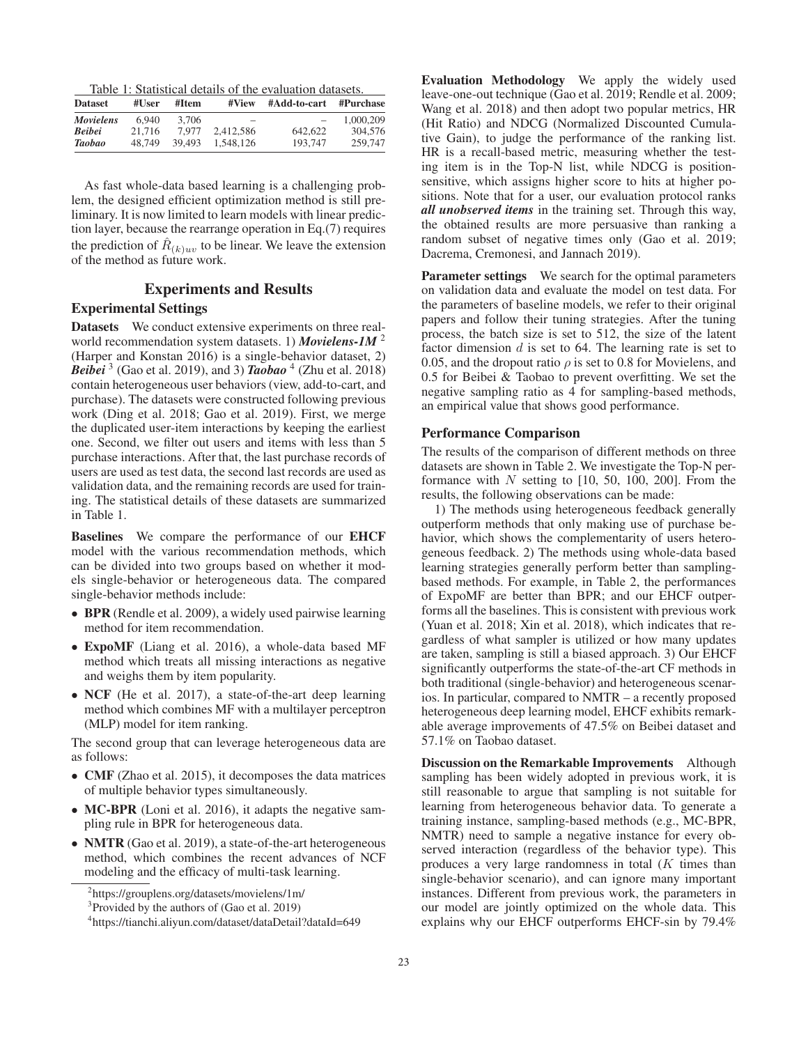Table 1: Statistical details of the evaluation datasets.

| <b>Dataset</b>   | #User  | #Item  | #View                    | #Add-to-cart             | #Purchase |  |
|------------------|--------|--------|--------------------------|--------------------------|-----------|--|
| <b>Movielens</b> | 6.940  | 3.706  | $\overline{\phantom{a}}$ | $\overline{\phantom{0}}$ | 1.000.209 |  |
| <b>Beibei</b>    | 21.716 | 7.977  | 2.412.586                | 642.622                  | 304,576   |  |
| <b>Taobao</b>    | 48.749 | 39.493 | 1.548.126                | 193,747                  | 259,747   |  |

As fast whole-data based learning is a challenging problem, the designed efficient optimization method is still preliminary. It is now limited to learn models with linear prediction layer, because the rearrange operation in Eq.(7) requires the prediction of  $R_{(k)uv}$  to be linear. We leave the extension of the method as future work.

### Experiments and Results

### Experimental Settings

Datasets We conduct extensive experiments on three realworld recommendation system datasets. 1) *Movielens-1M* <sup>2</sup> (Harper and Konstan 2016) is a single-behavior dataset, 2) *Beibei* <sup>3</sup> (Gao et al. 2019), and 3) *Taobao* <sup>4</sup> (Zhu et al. 2018) contain heterogeneous user behaviors (view, add-to-cart, and purchase). The datasets were constructed following previous work (Ding et al. 2018; Gao et al. 2019). First, we merge the duplicated user-item interactions by keeping the earliest one. Second, we filter out users and items with less than 5 purchase interactions. After that, the last purchase records of users are used as test data, the second last records are used as validation data, and the remaining records are used for training. The statistical details of these datasets are summarized in Table 1.

Baselines We compare the performance of our EHCF model with the various recommendation methods, which can be divided into two groups based on whether it models single-behavior or heterogeneous data. The compared single-behavior methods include:

- BPR (Rendle et al. 2009), a widely used pairwise learning method for item recommendation.
- ExpoMF (Liang et al. 2016), a whole-data based MF method which treats all missing interactions as negative and weighs them by item popularity.
- NCF (He et al. 2017), a state-of-the-art deep learning method which combines MF with a multilayer perceptron (MLP) model for item ranking.

The second group that can leverage heterogeneous data are as follows:

- CMF (Zhao et al. 2015), it decomposes the data matrices of multiple behavior types simultaneously.
- MC-BPR (Loni et al. 2016), it adapts the negative sampling rule in BPR for heterogeneous data.
- NMTR (Gao et al. 2019), a state-of-the-art heterogeneous method, which combines the recent advances of NCF modeling and the efficacy of multi-task learning.

2 https://grouplens.org/datasets/movielens/1m/

Evaluation Methodology We apply the widely used leave-one-out technique (Gao et al. 2019; Rendle et al. 2009; Wang et al. 2018) and then adopt two popular metrics, HR (Hit Ratio) and NDCG (Normalized Discounted Cumulative Gain), to judge the performance of the ranking list. HR is a recall-based metric, measuring whether the testing item is in the Top-N list, while NDCG is positionsensitive, which assigns higher score to hits at higher positions. Note that for a user, our evaluation protocol ranks *all unobserved items* in the training set. Through this way, the obtained results are more persuasive than ranking a random subset of negative times only (Gao et al. 2019; Dacrema, Cremonesi, and Jannach 2019).

Parameter settings We search for the optimal parameters on validation data and evaluate the model on test data. For the parameters of baseline models, we refer to their original papers and follow their tuning strategies. After the tuning process, the batch size is set to 512, the size of the latent factor dimension  $d$  is set to 64. The learning rate is set to 0.05, and the dropout ratio  $\rho$  is set to 0.8 for Movielens, and 0.5 for Beibei & Taobao to prevent overfitting. We set the negative sampling ratio as 4 for sampling-based methods, an empirical value that shows good performance.

#### Performance Comparison

The results of the comparison of different methods on three datasets are shown in Table 2. We investigate the Top-N performance with  $N$  setting to [10, 50, 100, 200]. From the results, the following observations can be made:

1) The methods using heterogeneous feedback generally outperform methods that only making use of purchase behavior, which shows the complementarity of users heterogeneous feedback. 2) The methods using whole-data based learning strategies generally perform better than samplingbased methods. For example, in Table 2, the performances of ExpoMF are better than BPR; and our EHCF outperforms all the baselines. This is consistent with previous work (Yuan et al. 2018; Xin et al. 2018), which indicates that regardless of what sampler is utilized or how many updates are taken, sampling is still a biased approach. 3) Our EHCF significantly outperforms the state-of-the-art CF methods in both traditional (single-behavior) and heterogeneous scenarios. In particular, compared to NMTR – a recently proposed heterogeneous deep learning model, EHCF exhibits remarkable average improvements of 47.5% on Beibei dataset and 57.1% on Taobao dataset.

Discussion on the Remarkable Improvements Although sampling has been widely adopted in previous work, it is still reasonable to argue that sampling is not suitable for learning from heterogeneous behavior data. To generate a training instance, sampling-based methods (e.g., MC-BPR, NMTR) need to sample a negative instance for every observed interaction (regardless of the behavior type). This produces a very large randomness in total  $(K$  times than single-behavior scenario), and can ignore many important instances. Different from previous work, the parameters in our model are jointly optimized on the whole data. This explains why our EHCF outperforms EHCF-sin by 79.4%

<sup>&</sup>lt;sup>3</sup> Provided by the authors of (Gao et al. 2019)

<sup>4</sup> https://tianchi.aliyun.com/dataset/dataDetail?dataId=649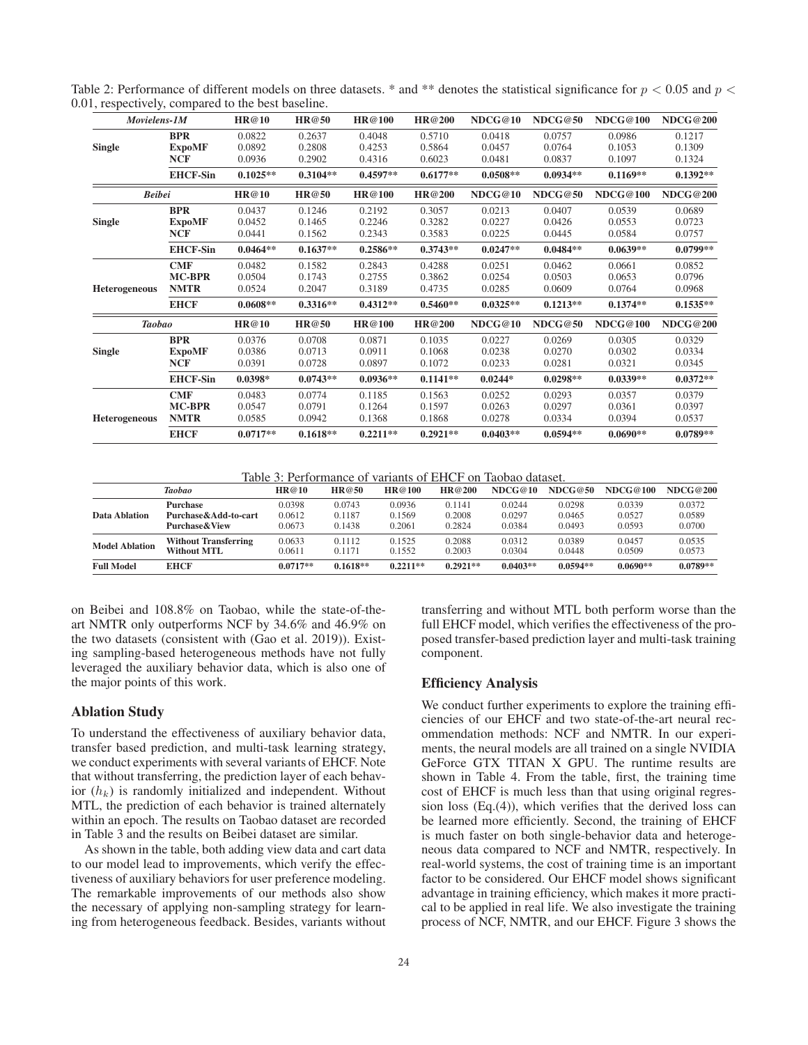| Movielens-1M         |                             | HR@10            | HR@50            | HR@100           | HR@200           | NDCG@10          | NDCG@50          | NDCG@100         | <b>NDCG@200</b>  |
|----------------------|-----------------------------|------------------|------------------|------------------|------------------|------------------|------------------|------------------|------------------|
| <b>Single</b>        | <b>BPR</b><br><b>ExpoMF</b> | 0.0822<br>0.0892 | 0.2637<br>0.2808 | 0.4048<br>0.4253 | 0.5710<br>0.5864 | 0.0418<br>0.0457 | 0.0757<br>0.0764 | 0.0986<br>0.1053 | 0.1217<br>0.1309 |
|                      | <b>NCF</b>                  | 0.0936           | 0.2902           | 0.4316           | 0.6023           | 0.0481           | 0.0837           | 0.1097           | 0.1324           |
|                      | <b>EHCF-Sin</b>             | $0.1025**$       | $0.3104**$       | $0.4597**$       | $0.6177**$       | $0.0508**$       | $0.0934**$       | $0.1169**$       | $0.1392**$       |
| <b>Beibei</b>        |                             | HR@10            | HR@50            | HR@100           | HR@200           | NDCG@10          | NDCG@50          | <b>NDCG@100</b>  | <b>NDCG@200</b>  |
|                      | <b>BPR</b>                  | 0.0437           | 0.1246           | 0.2192           | 0.3057           | 0.0213           | 0.0407           | 0.0539           | 0.0689           |
| <b>Single</b>        | <b>ExpoMF</b>               | 0.0452           | 0.1465           | 0.2246           | 0.3282           | 0.0227           | 0.0426           | 0.0553           | 0.0723           |
|                      | <b>NCF</b>                  | 0.0441           | 0.1562           | 0.2343           | 0.3583           | 0.0225           | 0.0445           | 0.0584           | 0.0757           |
|                      | <b>EHCF-Sin</b>             | $0.0464**$       | $0.1637**$       | $0.2586**$       | $0.3743**$       | $0.0247**$       | $0.0484**$       | $0.0639**$       | $0.0799**$       |
|                      | CMF                         | 0.0482           | 0.1582           | 0.2843           | 0.4288           | 0.0251           | 0.0462           | 0.0661           | 0.0852           |
|                      | <b>MC-BPR</b>               | 0.0504           | 0.1743           | 0.2755           | 0.3862           | 0.0254           | 0.0503           | 0.0653           | 0.0796           |
| <b>Heterogeneous</b> | <b>NMTR</b>                 | 0.0524           | 0.2047           | 0.3189           | 0.4735           | 0.0285           | 0.0609           | 0.0764           | 0.0968           |
|                      | <b>EHCF</b>                 | $0.0608**$       | $0.3316**$       | $0.4312**$       | $0.5460**$       | $0.0325**$       | $0.1213**$       | $0.1374**$       | $0.1535**$       |
| <b>Taobao</b>        |                             | HR@10            | HR@50            | HR@100           | HR@200           | NDCG@10          | NDCG@50          | <b>NDCG@100</b>  | <b>NDCG@200</b>  |
|                      | <b>BPR</b>                  | 0.0376           | 0.0708           | 0.0871           | 0.1035           | 0.0227           | 0.0269           | 0.0305           | 0.0329           |
| <b>Single</b>        | <b>ExpoMF</b>               | 0.0386           | 0.0713           | 0.0911           | 0.1068           | 0.0238           | 0.0270           | 0.0302           | 0.0334           |
|                      | <b>NCF</b>                  | 0.0391           | 0.0728           | 0.0897           | 0.1072           | 0.0233           | 0.0281           | 0.0321           | 0.0345           |
|                      | <b>EHCF-Sin</b>             | $0.0398*$        | $0.0743**$       | $0.0936**$       | $0.1141**$       | $0.0244*$        | $0.0298**$       | $0.0339**$       | $0.0372**$       |
|                      | <b>CMF</b>                  | 0.0483           | 0.0774           | 0.1185           | 0.1563           | 0.0252           | 0.0293           | 0.0357           | 0.0379           |
|                      | <b>MC-BPR</b>               | 0.0547           | 0.0791           | 0.1264           | 0.1597           | 0.0263           | 0.0297           | 0.0361           | 0.0397           |
| <b>Heterogeneous</b> | <b>NMTR</b>                 | 0.0585           | 0.0942           | 0.1368           | 0.1868           | 0.0278           | 0.0334           | 0.0394           | 0.0537           |
|                      | <b>EHCF</b>                 | $0.0717**$       | $0.1618**$       | $0.2211**$       | $0.2921**$       | $0.0403**$       | $0.0594**$       | $0.0690**$       | $0.0789**$       |

Table 2: Performance of different models on three datasets. \* and \*\* denotes the statistical significance for  $p < 0.05$  and  $p <$ 0.01, respectively, compared to the best baseline.

Table 3: Performance of variants of EHCF on Taobao dataset.

|                       | <b>Taobao</b>               | HR@10      | HR@50      | HR@100     | HR@200     | NDCG@10    | NDCG@50    | NDCG@100   | NDCG@200   |
|-----------------------|-----------------------------|------------|------------|------------|------------|------------|------------|------------|------------|
| Data Ablation         | <b>Purchase</b>             | 0.0398     | 0.0743     | 0.0936     | 0.1141     | 0.0244     | 0.0298     | 0.0339     | 0.0372     |
|                       | Purchase&Add-to-cart        | 0.0612     | 0.1187     | 0.1569     | 0.2008     | 0.0297     | 0.0465     | 0.0527     | 0.0589     |
|                       | <b>Purchase &amp; View</b>  | 0.0673     | 0.1438     | 0.2061     | 0.2824     | 0.0384     | 0.0493     | 0.0593     | 0.0700     |
| <b>Model Ablation</b> | <b>Without Transferring</b> | 0.0633     | 0.1112     | 0.1525     | 0.2088     | 0.0312     | 0.0389     | 0.0457     | 0.0535     |
|                       | <b>Without MTL</b>          | 0.0611     | 0.1171     | 0.1552     | 0.2003     | 0.0304     | 0.0448     | 0.0509     | 0.0573     |
| <b>Full Model</b>     | <b>EHCF</b>                 | $0.0717**$ | $0.1618**$ | $0.2211**$ | $0.2921**$ | $0.0403**$ | $0.0594**$ | $0.0690**$ | $0.0789**$ |

on Beibei and 108.8% on Taobao, while the state-of-theart NMTR only outperforms NCF by 34.6% and 46.9% on the two datasets (consistent with (Gao et al. 2019)). Existing sampling-based heterogeneous methods have not fully leveraged the auxiliary behavior data, which is also one of the major points of this work.

### Ablation Study

To understand the effectiveness of auxiliary behavior data, transfer based prediction, and multi-task learning strategy, we conduct experiments with several variants of EHCF. Note that without transferring, the prediction layer of each behavior  $(h_k)$  is randomly initialized and independent. Without MTL, the prediction of each behavior is trained alternately within an epoch. The results on Taobao dataset are recorded in Table 3 and the results on Beibei dataset are similar.

As shown in the table, both adding view data and cart data to our model lead to improvements, which verify the effectiveness of auxiliary behaviors for user preference modeling. The remarkable improvements of our methods also show the necessary of applying non-sampling strategy for learning from heterogeneous feedback. Besides, variants without

transferring and without MTL both perform worse than the full EHCF model, which verifies the effectiveness of the proposed transfer-based prediction layer and multi-task training component.

### Efficiency Analysis

We conduct further experiments to explore the training efficiencies of our EHCF and two state-of-the-art neural recommendation methods: NCF and NMTR. In our experiments, the neural models are all trained on a single NVIDIA GeForce GTX TITAN X GPU. The runtime results are shown in Table 4. From the table, first, the training time cost of EHCF is much less than that using original regression loss (Eq.(4)), which verifies that the derived loss can be learned more efficiently. Second, the training of EHCF is much faster on both single-behavior data and heterogeneous data compared to NCF and NMTR, respectively. In real-world systems, the cost of training time is an important factor to be considered. Our EHCF model shows significant advantage in training efficiency, which makes it more practical to be applied in real life. We also investigate the training process of NCF, NMTR, and our EHCF. Figure 3 shows the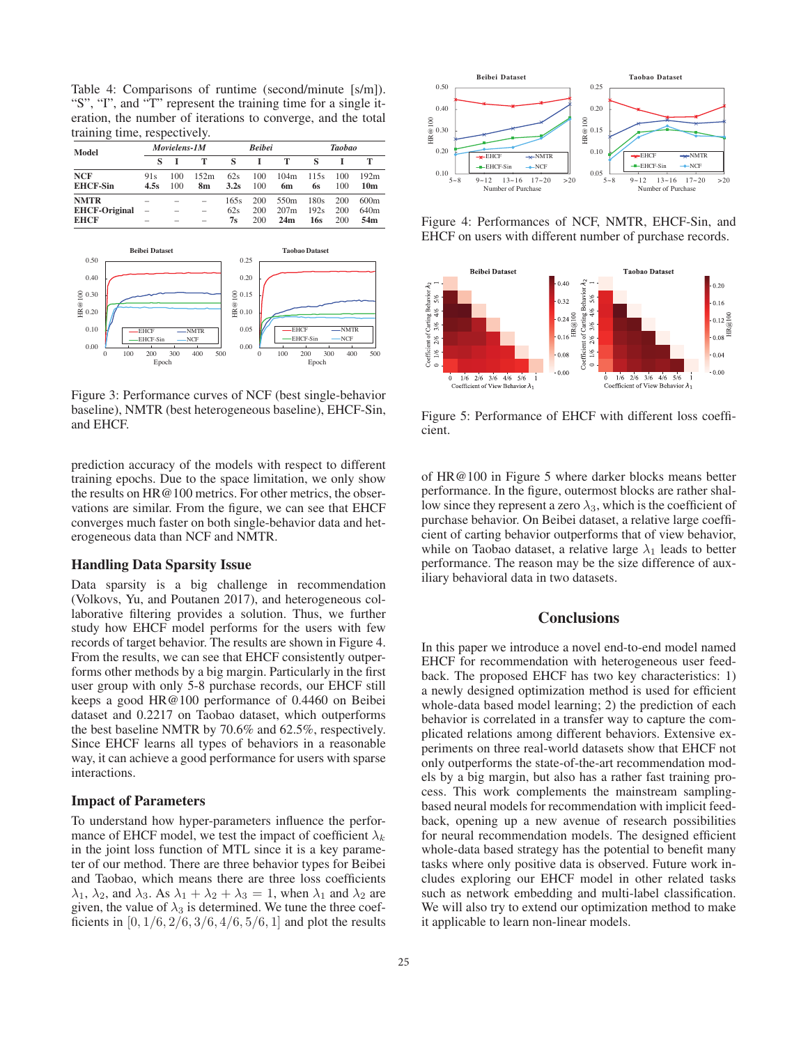Table 4: Comparisons of runtime (second/minute [s/m]). "S", "I", and "T" represent the training time for a single iteration, the number of iterations to converge, and the total training time, respectively.

| Model                               | Movielens-IM  |                                                      |                                                      | <b>Beibei</b> |            |                          | Taobao       |            |                          |
|-------------------------------------|---------------|------------------------------------------------------|------------------------------------------------------|---------------|------------|--------------------------|--------------|------------|--------------------------|
|                                     |               |                                                      | т                                                    | s             |            | т                        |              |            |                          |
| <b>NCF</b><br><b>EHCF-Sin</b>       | 91s<br>4.5s   | 100<br>100                                           | 152m<br>8m                                           | 62s<br>3.2s   | 100<br>100 | 104m<br>6m               | 115s<br>6s   | 100<br>100 | 192m<br>10m              |
| <b>NMTR</b><br><b>EHCF-Original</b> | -<br>$\equiv$ | $\overline{\phantom{a}}$<br>$\overline{\phantom{a}}$ | $\overline{\phantom{0}}$<br>$\overline{\phantom{0}}$ | 165s<br>62s   | 200<br>200 | 550 <sub>m</sub><br>207m | 180s<br>192s | 200<br>200 | 600m<br>640 <sub>m</sub> |
| <b>EHCF</b>                         | -             |                                                      | -                                                    | 7s            | 200        | 24m                      | 16s          | 200        | 54 <sub>m</sub>          |



Figure 3: Performance curves of NCF (best single-behavior baseline), NMTR (best heterogeneous baseline), EHCF-Sin, and EHCF.

prediction accuracy of the models with respect to different training epochs. Due to the space limitation, we only show the results on HR@100 metrics. For other metrics, the observations are similar. From the figure, we can see that EHCF converges much faster on both single-behavior data and heterogeneous data than NCF and NMTR.

### Handling Data Sparsity Issue

Data sparsity is a big challenge in recommendation (Volkovs, Yu, and Poutanen 2017), and heterogeneous collaborative filtering provides a solution. Thus, we further study how EHCF model performs for the users with few records of target behavior. The results are shown in Figure 4. From the results, we can see that EHCF consistently outperforms other methods by a big margin. Particularly in the first user group with only 5-8 purchase records, our EHCF still keeps a good HR@100 performance of 0.4460 on Beibei dataset and 0.2217 on Taobao dataset, which outperforms the best baseline NMTR by 70.6% and 62.5%, respectively. Since EHCF learns all types of behaviors in a reasonable way, it can achieve a good performance for users with sparse interactions.

### Impact of Parameters

To understand how hyper-parameters influence the performance of EHCF model, we test the impact of coefficient  $\lambda_k$ in the joint loss function of MTL since it is a key parameter of our method. There are three behavior types for Beibei and Taobao, which means there are three loss coefficients  $\lambda_1$ ,  $\lambda_2$ , and  $\lambda_3$ . As  $\lambda_1 + \lambda_2 + \lambda_3 = 1$ , when  $\lambda_1$  and  $\lambda_2$  are given, the value of  $\lambda_3$  is determined. We tune the three coefficients in  $[0, 1/6, 2/6, 3/6, 4/6, 5/6, 1]$  and plot the results



Figure 4: Performances of NCF, NMTR, EHCF-Sin, and EHCF on users with different number of purchase records.



Figure 5: Performance of EHCF with different loss coefficient.

of HR@100 in Figure 5 where darker blocks means better performance. In the figure, outermost blocks are rather shallow since they represent a zero  $\lambda_3$ , which is the coefficient of purchase behavior. On Beibei dataset, a relative large coefficient of carting behavior outperforms that of view behavior, while on Taobao dataset, a relative large  $\lambda_1$  leads to better performance. The reason may be the size difference of auxiliary behavioral data in two datasets.

### **Conclusions**

In this paper we introduce a novel end-to-end model named EHCF for recommendation with heterogeneous user feedback. The proposed EHCF has two key characteristics: 1) a newly designed optimization method is used for efficient whole-data based model learning; 2) the prediction of each behavior is correlated in a transfer way to capture the complicated relations among different behaviors. Extensive experiments on three real-world datasets show that EHCF not only outperforms the state-of-the-art recommendation models by a big margin, but also has a rather fast training process. This work complements the mainstream samplingbased neural models for recommendation with implicit feedback, opening up a new avenue of research possibilities for neural recommendation models. The designed efficient whole-data based strategy has the potential to benefit many tasks where only positive data is observed. Future work includes exploring our EHCF model in other related tasks such as network embedding and multi-label classification. We will also try to extend our optimization method to make it applicable to learn non-linear models.